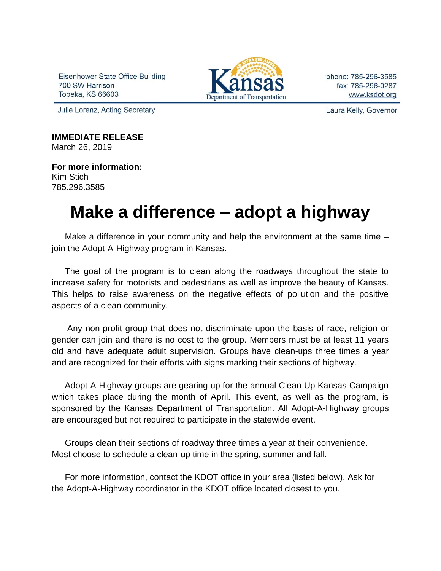Eisenhower State Office Building 700 SW Harrison Topeka, KS 66603



phone: 785-296-3585 fax: 785-296-0287 www.ksdot.org

Julie Lorenz, Acting Secretary

Laura Kelly, Governor

**IMMEDIATE RELEASE** March 26, 2019

**For more information:** Kim Stich 785.296.3585

## **Make a difference – adopt a highway**

Make a difference in your community and help the environment at the same time – join the Adopt-A-Highway program in Kansas.

The goal of the program is to clean along the roadways throughout the state to increase safety for motorists and pedestrians as well as improve the beauty of Kansas. This helps to raise awareness on the negative effects of pollution and the positive aspects of a clean community.

Any non-profit group that does not discriminate upon the basis of race, religion or gender can join and there is no cost to the group. Members must be at least 11 years old and have adequate adult supervision. Groups have clean-ups three times a year and are recognized for their efforts with signs marking their sections of highway.

Adopt-A-Highway groups are gearing up for the annual Clean Up Kansas Campaign which takes place during the month of April. This event, as well as the program, is sponsored by the Kansas Department of Transportation. All Adopt-A-Highway groups are encouraged but not required to participate in the statewide event.

Groups clean their sections of roadway three times a year at their convenience. Most choose to schedule a clean-up time in the spring, summer and fall.

For more information, contact the KDOT office in your area (listed below). Ask for the Adopt-A-Highway coordinator in the KDOT office located closest to you.